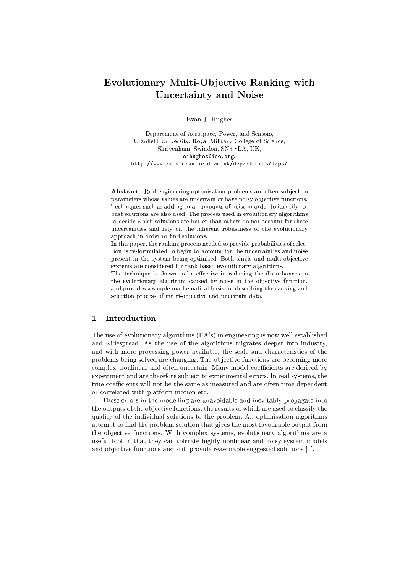# Evolutionary Multi-Ob jective Ranking with Uncertainty and Noise

Evan J. Hughes

Department of Aerospace, Power, and Sensors, Craneld University, Royal Military College of Science, Shrivenham, Swindon, SN6 8LA, UK, ejhughes@iee.org, http://www.rmcs.cranfield.ac.uk/departments/daps/

Abstract. Real engineering optimisation problems are often sub ject to parameters whose values are uncertain or have noisy ob jective functions. Techniques such as adding small amounts of noise in order to identify robust solutions are also used. The process used in evolutionary algorithms to decide which solutions are better than others do not account for these uncertainties and rely on the inherent robustness of the evolutionary approach in order to find solutions.

In this paper, the ranking process needed to provide probabilities of selection is re-formulated to begin to account for the uncertainties and noise present in the system being optimised. Both single and multi-ob jective systems are considered for rank-based evolutionary algorithms.

The technique is shown to be effective in reducing the disturbances to the evolutionary algorithm caused by noise in the objective function, and provides a simple mathematical basis for describing the ranking and selection process of multi-ob jective and uncertain data.

### 1 Introduction

The use of evolutionary algorithms (EA's) in engineering is now well established and widespread. As the use of the algorithms migrates deeper into industry, and with more processing power available, the scale and characteristics of the problems being solved are changing. The ob jective functions are becoming more complex, nonlinear and often uncertain. Many model coefficients are derived by experiment and are therefore subject to experimental errors. In real systems, the true coefficients will not be the same as measured and are often time dependent or correlated with platform motion etc.

These errors in the modelling are unavoidable and inevitably propagate into the outputs of the ob jective functions, the results of which are used to classify the quality of the individual solutions to the problem. All optimisation algorithms attempt to find the problem solution that gives the most favourable output from the ob jective functions. With complex systems, evolutionary algorithms are a useful tool in that they can tolerate highly nonlinear and noisy system models and ob jective functions and still provide reasonable suggested solutions [1].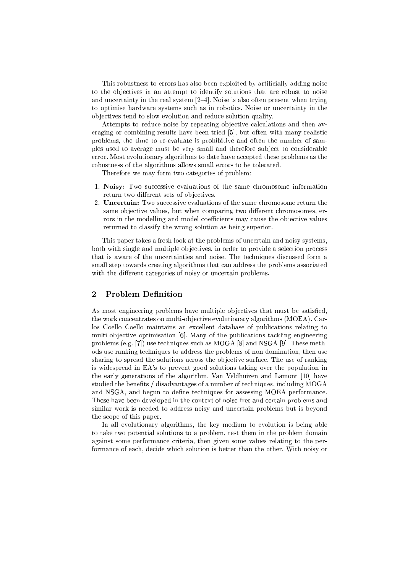This robustness to errors has also been exploited by articially adding noise to the ob jectives in an attempt to identify solutions that are robust to noise and uncertainty in the real system  $[2-4]$ . Noise is also often present when trying to optimise hardware systems such as in robotics. Noise or uncertainty in the ob jectives tend to slow evolution and reduce solution quality.

Attempts to reduce noise by repeating ob jective calculations and then averaging or combining results have been tried [5], but often with many realistic problems, the time to re-evaluate is prohibitive and often the number of samples used to average must be very small and therefore sub ject to considerable error. Most evolutionary algorithms to date have accepted these problems as the robustness of the algorithms allows small errors to be tolerated.

Therefore we may form two categories of problem:

- 1. Noisy: Two successive evaluations of the same chromosome information return two different sets of objectives.
- 2. Uncertain: Two successive evaluations of the same chromosome return the same objective values, but when comparing two different chromosomes, errors in the modelling and model coefficients may cause the objective values returned to classify the wrong solution as being superior.

This paper takes a fresh look at the problems of uncertain and noisy systems, both with single and multiple objectives, in order to provide a selection process that is aware of the uncertainties and noise. The techniques discussed form a small step towards creating algorithms that can address the problems associated with the different categories of noisy or uncertain problems.

# 2 Problem Definition

As most engineering problems have multiple objectives that must be satisfied, the work concentrates on multi-ob jective evolutionary algorithms (MOEA). Carlos Coello Coello maintains an excellent database of publications relating to multi-ob jective optimisation [6]. Many of the publications tackling engineering problems (e.g. [7]) use techniques such as MOGA [8] and NSGA [9]. These methods use ranking techniques to address the problems of non-domination, then use sharing to spread the solutions across the objective surface. The use of ranking is widespread in EA's to prevent good solutions taking over the population in the early generations of the algorithm. Van Veldhuizen and Lamont [10] have studied the benets / disadvantages of a number of techniques, including MOGA and NSGA, and begun to define techniques for assessing MOEA performance. These have been developed in the context of noise-free and certain problems and similar work is needed to address noisy and uncertain problems but is beyond the scope of this paper.

In all evolutionary algorithms, the key medium to evolution is being able to take two potential solutions to a problem, test them in the problem domain against some performance criteria, then given some values relating to the performance of each, decide which solution is better than the other. With noisy or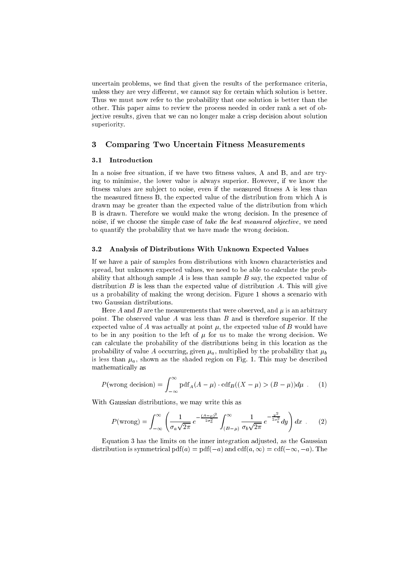uncertain problems, we find that given the results of the performance criteria, unless they are very different, we cannot say for certain which solution is better. Thus we must now refer to the probability that one solution is better than the other. This paper aims to review the process needed in order rank a set of objective results, given that we can no longer make a crisp decision about solution superiority.

### 3 Comparing Two Uncertain Fitness Measurements

#### 3.1 Introduction

In a noise free situation, if we have two fitness values,  $A$  and  $B$ , and are trying to minimise, the lower value is always superior. However, if we know the fitness values are subject to noise, even if the measured fitness A is less than the measured fitness  $B$ , the expected value of the distribution from which  $A$  is drawn may be greater than the expected value of the distribution from which B is drawn. Therefore we would make the wrong decision. In the presence of noise, if we choose the simple case of *take the best measured objective*, we need to quantify the probability that we have made the wrong decision.

# 3.2 Analysis of Distributions With Unknown Expected Values

If we have a pair of samples from distributions with known characteristics and spread, but unknown expected values, we need to be able to calculate the probability that although sample  $A$  is less than sample  $B$  say, the expected value of distribution  $B$  is less than the expected value of distribution  $A$ . This will give us a probability of making the wrong decision. Figure 1 shows a scenario with two Gaussian distributions.

Here A and B are the measurements that were observed, and  $\mu$  is an arbitrary point. The observed value A was less than B and is therefore superior. If the expected value of A was actually at point  $\mu$ , the expected value of B would have to be in any position to the left of  $\mu$  for us to make the wrong decision. We can calculate the probability of the distributions being in this location as the probability of value A occurring, given  $\mu_a$ , multiplied by the probability that  $\mu_b$ is less than  $\mu_a$ , shown as the shaded region on Fig. 1. This may be described mathematically as

$$
P(\text{wrong decision}) = \int_{-\infty}^{\infty} \text{pdf}_A(A - \mu) \cdot \text{cdf}_B((X - \mu) > (B - \mu))d\mu \tag{1}
$$

With Gaussian distributions, we may write this as

$$
P(\text{wrong}) = \int_{-\infty}^{\infty} \left( \frac{1}{\sigma_a \sqrt{2\pi}} e^{-\frac{(A-\mu)^2}{2\sigma_a^2}} \int_{(B-\mu)}^{\infty} \frac{1}{\sigma_b \sqrt{2\pi}} e^{-\frac{y^2}{2\sigma_b^2}} dy \right) dx \quad . \tag{2}
$$

Equation 3 has the limits on the inner integration adjusted, as the Gaussian distribution is symmetrical pdf(a) = pdf(-a) and cdf(a,  $\infty$ ) = cdf(- $\infty$ , -a). The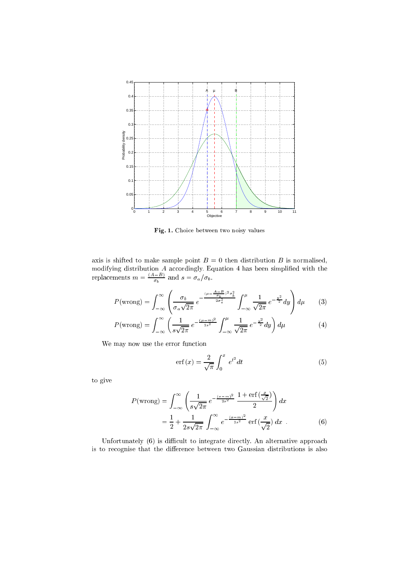

Fig. 1. Choice between two noisy values

axis is shifted to make sample point  $B = 0$  then distribution B is normalised, modifying distribution A accordingly. Equation 4 has been simplified with the replacements  $m = \frac{(A-B)}{\sigma_b}$  and  $s = \sigma_a/\sigma_b$ .

$$
P(\text{wrong}) = \int_{-\infty}^{\infty} \left( \frac{\sigma_b}{\sigma_a \sqrt{2\pi}} e^{-\frac{(\mu - \frac{A-B}{\sigma_b})^2 \sigma_b^2}{2\sigma_a^2}} \int_{-\infty}^{\mu} \frac{1}{\sqrt{2\pi}} e^{-\frac{y^2}{2}} dy \right) d\mu \qquad (3)
$$

$$
P(\text{wrong}) = \int_{-\infty}^{\infty} \left( \frac{1}{s\sqrt{2\pi}} e^{-\frac{(\mu - m)^2}{2s^2}} \int_{-\infty}^{\mu} \frac{1}{\sqrt{2\pi}} e^{-\frac{y^2}{2}} dy \right) d\mu \tag{4}
$$

We may now use the error function

$$
\operatorname{erf}(x) = \frac{2}{\sqrt{\pi}} \int_0^x e^{t^2} dt \tag{5}
$$

to give

$$
P(\text{wrong}) = \int_{-\infty}^{\infty} \left( \frac{1}{s\sqrt{2\pi}} e^{-\frac{(x-m)^2}{2s^2}} \frac{1 + \text{erf}\left(\frac{x}{\sqrt{2}}\right)}{2} \right) dx
$$

$$
= \frac{1}{2} + \frac{1}{2s\sqrt{2\pi}} \int_{-\infty}^{\infty} e^{-\frac{(x-m)^2}{2s^2}} \text{erf}\left(\frac{x}{\sqrt{2}}\right) dx \tag{6}
$$

Unfortunately  $(6)$  is difficult to integrate directly. An alternative approach is to recognise that the difference between two Gaussian distributions is also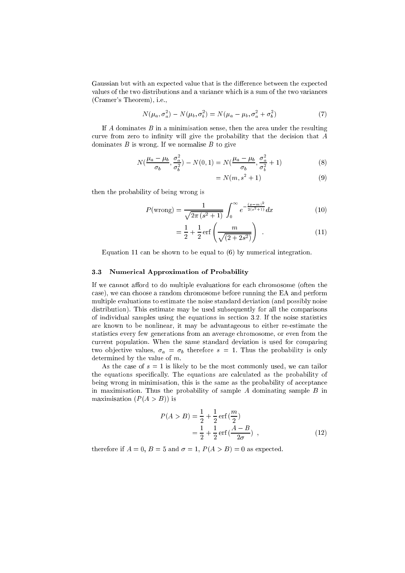Gaussian but with an expected value that is the difference between the expected values of the two distributions and a variance which is a sum of the two variances (Cramer's Theorem), i.e.,

$$
N(\mu_a, \sigma_a^2) - N(\mu_b, \sigma_b^2) = N(\mu_a - \mu_b, \sigma_a^2 + \sigma_b^2)
$$
\n(7)

If  $A$  dominates  $B$  in a minimisation sense, then the area under the resulting curve from zero to infinity will give the probability that the decision that  $A$ dominates  $B$  is wrong. If we normalise  $B$  to give

$$
N(\frac{\mu_a - \mu_b}{\sigma_b}, \frac{\sigma_a^2}{\sigma_b^2}) - N(0, 1) = N(\frac{\mu_a - \mu_b}{\sigma_b}, \frac{\sigma_a^2}{\sigma_b^2} + 1)
$$
 (8)

$$
= N(m, s^2 + 1) \tag{9}
$$

then the probability of being wrong is

$$
P(\text{wrong}) = \frac{1}{\sqrt{2\pi (s^2 + 1)}} \int_0^\infty e^{-\frac{(x - m)^2}{2(s^2 + 1)}} dx \tag{10}
$$

$$
= \frac{1}{2} + \frac{1}{2} \operatorname{erf}\left(\frac{m}{\sqrt{(2+2s^2)}}\right) \tag{11}
$$

Equation 11 can be shown to be equal to (6) by numerical integration.

### 3.3 Numerical Approximation of Probability

If we cannot afford to do multiple evaluations for each chromosome (often the case), we can choose a random chromosome before running the EA and perform multiple evaluations to estimate the noise standard deviation (and possibly noise distribution). This estimate may be used subsequently for all the comparisons of individual samples using the equations in section 3.2. If the noise statistics are known to be nonlinear, it may be advantageous to either re-estimate the statistics every few generations from an average chromosome, or even from the current population. When the same standard deviation is used for comparing two objective values,  $\sigma_a = \sigma_b$  therefore  $s = 1$ . Thus the probability is only determined by the value of m.

As the case of  $s = 1$  is likely to be the most commonly used, we can tailor the equations specifically. The equations are calculated as the probability of being wrong in minimisation, this is the same as the probability of acceptance in maximisation. Thus the probability of sample  $A$  dominating sample  $B$  in maximisation  $(P(A > B))$  is

$$
P(A > B) = \frac{1}{2} + \frac{1}{2} \operatorname{erf} \left( \frac{m}{2} \right)
$$
  
=  $\frac{1}{2} + \frac{1}{2} \operatorname{erf} \left( \frac{A - B}{2\sigma} \right)$ , (12)

therefore if  $A = 0$ ,  $B = 5$  and  $\sigma = 1$ ,  $P(A > B) = 0$  as expected.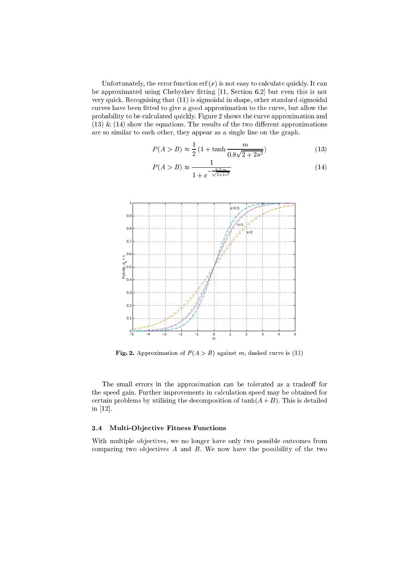Unfortunately, the error function erf  $(x)$  is not easy to calculate quickly. It can be approximated using Chebyshev fitting  $[11, Section 6.2]$  but even this is not very quick. Recognising that (11) is sigmoidal in shape, other standard sigmoidal curves have been fitted to give a good approximation to the curve, but allow the probability to be calculated quickly. Figure 2 shows the curve approximation and (13)  $\&$  (14) show the equations. The results of the two different approximations are so similar to each other, they appear as a single line on the graph.

$$
P(A > B) \approx \frac{1}{2} \left( 1 + \tanh \frac{m}{0.8\sqrt{2 + 2s^2}} \right)
$$
 (13)

$$
P(A > B) \approx \frac{1}{1 + e^{-\frac{2.5 m}{\sqrt{2 + 2s^2}}}}
$$
(14)



Fig. 2. Approximation of  $P(A > B)$  against m, dashed curve is (11)

The small errors in the approximation can be tolerated as a tradeoff for the speed gain. Further improvements in calculation speed may be obtained for certain problems by utilising the decomposition of  $tanh(A + B)$ . This is detailed in [12].

# 3.4 Multi-Objective Fitness Functions

With multiple objectives, we no longer have only two possible outcomes from comparing two objectives  $A$  and  $B$ . We now have the possibility of the two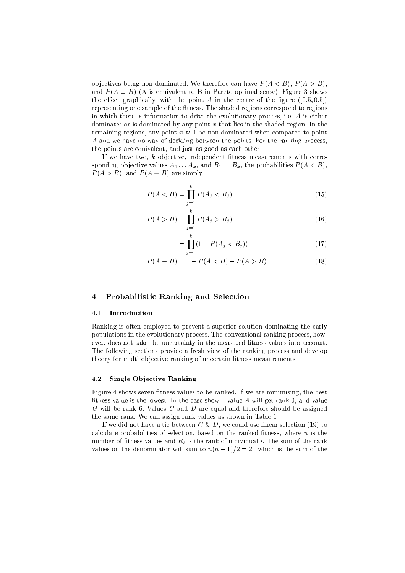objectives being non-dominated. We therefore can have  $P(A \leq B)$ ,  $P(A > B)$ , and  $P(A \equiv B)$  (A is equivalent to B in Pareto optimal sense). Figure 3 shows the effect graphically, with the point  $A$  in the centre of the figure  $([0.5, 0.5])$ representing one sample of the fitness. The shaded regions correspond to regions in which there is information to drive the evolutionary process, i.e. A is either dominates or is dominated by any point  $x$  that lies in the shaded region. In the remaining regions, any point  $x$  will be non-dominated when compared to point A and we have no way of deciding between the points. For the ranking process, the points are equivalent, and just as good as each other.

If we have two,  $k$  objective, independent fitness measurements with corresponding objective values  $A_1 \ldots A_k$ , and  $B_1 \ldots B_k$ , the probabilities  $P(A < B)$ ,  $P(A > B)$ , and  $P(A \equiv B)$  are simply

$$
P(A < B) = \prod_{j=1}^{k} P(A_j < B_j) \tag{15}
$$

$$
P(A > B) = \prod_{j=1}^{k} P(A_j > B_j)
$$
 (16)

$$
=\prod_{j=1}^{k} (1 - P(A_j < B_j))\tag{17}
$$

$$
P(A \equiv B) = 1 - P(A < B) - P(A > B) \tag{18}
$$

#### 4 Probabilistic Ranking and Selection

#### 4.1 Introduction

Ranking is often employed to prevent a superior solution dominating the early populations in the evolutionary process. The conventional ranking process, however, does not take the uncertainty in the measured fitness values into account. The following sections provide a fresh view of the ranking process and develop theory for multi-objective ranking of uncertain fitness measurements.

#### 4.2 Single Objective Ranking

Figure 4 shows seven fitness values to be ranked. If we are minimising, the best fitness value is the lowest. In the case shown, value  $A$  will get rank  $0$ , and value G will be rank 6. Values C and D are equal and therefore should be assigned the same rank. We can assign rank values as shown in Table 1

If we did not have a tie between  $C \& D$ , we could use linear selection (19) to calculate probabilities of selection, based on the ranked fitness, where  $n$  is the number of fitness values and  $R_i$  is the rank of individual i. The sum of the rank values on the denominator will sum to  $n(n-1)/2 = 21$  which is the sum of the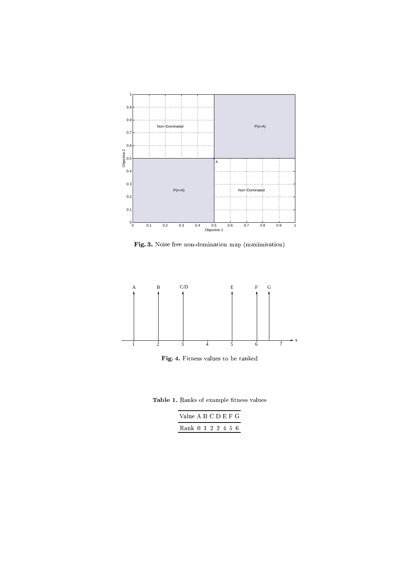

Fig. 3. Noise free non-domination map (maximisation)



Fig. 4. Fitness values to be ranked

Table 1. Ranks of example fitness values

| Value A B C D E F G |  |  |  |  |
|---------------------|--|--|--|--|
| Rank 0 1 2 2 4 5 6  |  |  |  |  |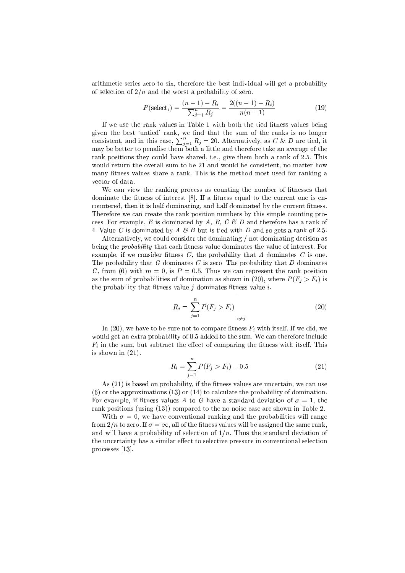arithmetic series zero to six, therefore the best individual will get a probability of selection of  $2/n$  and the worst a probability of zero.

$$
P(\text{select}_i) = \frac{(n-1) - R_i}{\sum_{j=1}^n R_j} = \frac{2((n-1) - R_i)}{n(n-1)}\tag{19}
$$

If we use the rank values in Table 1 with both the tied fitness values being given the best 'untied' rank, we find that the sum of the ranks is no longer consistent, and in this case,  $\sum_{j=1}^{n} R_j = 20$ . Alternatively, as C & D are tied, it may be better to penalise them both a little and therefore take an average of the rank positions they could have shared, i.e., give them both a rank of 2.5. This would return the overall sum to be 21 and would be consistent, no matter how many fitness values share a rank. This is the method most used for ranking a vector of data.

We can view the ranking process as counting the number of fitnesses that dominate the fitness of interest  $[8]$ . If a fitness equal to the current one is encountered, then it is half dominating, and half dominated by the current fitness. Therefore we can create the rank position numbers by this simple counting process. For example, E is dominated by A, B, C  $\mathcal B$  D and therefore has a rank of 4. Value C is dominated by A  $\mathcal B$  B but is tied with D and so gets a rank of 2.5.

Alternatively, we could consider the dominating / not dominating decision as being the *probability* that each fitness value dominates the value of interest. For example, if we consider fitness  $C$ , the probability that  $A$  dominates  $C$  is one. The probability that G dominates C is zero. The probability that D dominates C, from (6) with  $m = 0$ , is  $P = 0.5$ . Thus we can represent the rank position as the sum of probabilities of domination as shown in (20), where  $P(F_i > F_i)$  is the probability that fitness value  $j$  dominates fitness value  $i$ .

$$
R_i = \sum_{j=1}^n P(F_j > F_i) \bigg|_{i \neq j} \tag{20}
$$

 $\mathbf{r}$ 

In (20), we have to be sure not to compare fitness  $F_i$  with itself. If we did, we would get an extra probability of 0:5 added to the sum. We can therefore include  $F_i$  in the sum, but subtract the effect of comparing the fitness with itself. This is shown in (21).

$$
R_i = \sum_{j=1}^{n} P(F_j > F_i) - 0.5
$$
 (21)

As  $(21)$  is based on probability, if the fitness values are uncertain, we can use (6) or the approximations (13) or (14) to calculate the probability of domination. For example, if fitness values A to G have a standard deviation of  $\sigma = 1$ , the rank positions (using (13)) compared to the no noise case are shown in Table 2.

With  $\sigma = 0$ , we have conventional ranking and the probabilities will range from  $2/n$  to zero. If  $\sigma = \infty$ , all of the fitness values will be assigned the same rank, and will have a probability of selection of  $1/n$ . Thus the standard deviation of the uncertainty has a similar effect to selective pressure in conventional selection processes [13].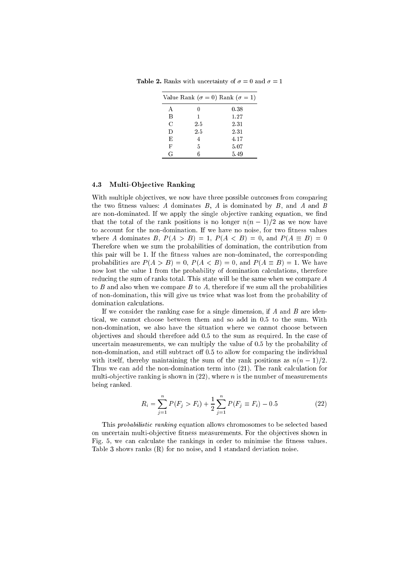| Value Rank ( $\sigma = 0$ ) Rank ( $\sigma = 1$ ) |     |      |  |  |  |
|---------------------------------------------------|-----|------|--|--|--|
| А                                                 |     | 0.38 |  |  |  |
| В                                                 | 1   | 1.27 |  |  |  |
| $\mathcal{C}$                                     | 2.5 | 2.31 |  |  |  |
| D                                                 | 2.5 | 2.31 |  |  |  |
| E                                                 |     | 4.17 |  |  |  |
| F                                                 | 5   | 5.07 |  |  |  |
| G                                                 |     | 5.49 |  |  |  |

**Table 2.** Ranks with uncertainty of  $\sigma = 0$  and  $\sigma = 1$ 

#### Multi-Objective Ranking 4.3

With multiple objectives, we now have three possible outcomes from comparing the two fitness values: A dominates  $B, A$  is dominated by  $B, A$  and  $A$  and  $B$ are non-dominated. If we apply the single objective ranking equation, we find that the total of the rank positions is no longer  $n(n-1)/2$  as we now have to account for the non-domination. If we have no noise, for two fitness values where A dominates B,  $P(A > B) = 1$ ,  $P(A < B) = 0$ , and  $P(A \equiv B) = 0$ Therefore when we sum the probabilities of domination, the contribution from this pair will be 1. If the fitness values are non-dominated, the corresponding probabilities are  $P(A > B) = 0$ ,  $P(A < B) = 0$ , and  $P(A \equiv B) = 1$ . We have now lost the value 1 from the probability of domination calculations, therefore reducing the sum of ranks total. This state will be the same when we compare A to  $B$  and also when we compare  $B$  to  $A$ , therefore if we sum all the probabilities of non-domination, this will give us twice what was lost from the probability of domination calculations.

If we consider the ranking case for a single dimension, if  $A$  and  $B$  are identical, we cannot choose between them and so add in 0.5 to the sum. With non-domination, we also have the situation where we cannot choose between ob jectives and should therefore add 0.5 to the sum as required. In the case of uncertain measurements, we can multiply the value of 0:5 by the probability of non-domination, and still subtract off 0.5 to allow for comparing the individual with itself, thereby maintaining the sum of the rank positions as  $n(n-1)/2$ . Thus we can add the non-domination term into (21). The rank calculation for multi-objective ranking is shown in  $(22)$ , where *n* is the number of measurements being ranked.

$$
R_i = \sum_{j=1}^{n} P(F_j > F_i) + \frac{1}{2} \sum_{j=1}^{n} P(F_j \equiv F_i) - 0.5
$$
 (22)

This probabilistic ranking equation allows chromosomes to be selected based on uncertain multi-objective fitness measurements. For the objectives shown in Fig. 5, we can calculate the rankings in order to minimise the fitness values. Table 3 shows ranks (R) for no noise, and 1 standard deviation noise.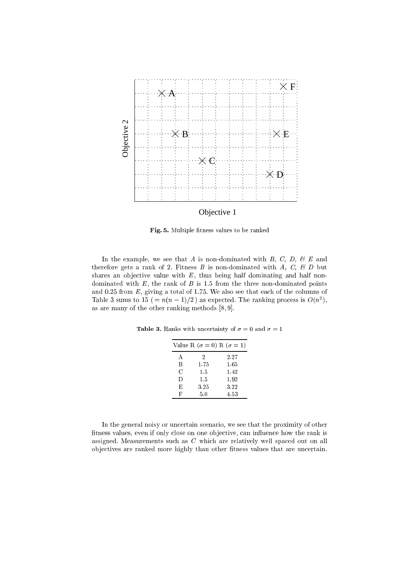

Fig. 5. Multiple fitness values to be ranked

In the example, we see that A is non-dominated with B, C, D,  $\mathcal{B}$  E and therefore gets a rank of 2. Fitness  $B$  is non-dominated with  $A, C, \mathcal{C}$   $D$  but shares an objective value with  $E$ , thus being half dominating and half nondominated with  $E$ , the rank of  $B$  is 1.5 from the three non-dominated points and  $0.25$  from  $E$ , giving a total of 1.75. We also see that each of the columns of Table 3 sums to 15 ( =  $n(n-1)/2$  ) as expected. The ranking process is  $O(n^2)$ , as are many of the other ranking methods [8, 9].

**Table 3.** Ranks with uncertainty of  $\sigma = 0$  and  $\sigma = 1$ 

|               |      | Value R $(\sigma = 0)$ R $(\sigma = 1)$ |
|---------------|------|-----------------------------------------|
| A             | 2    | 2.27                                    |
| В             | 1.75 | 1.65                                    |
| $\mathcal{C}$ | 1.5  | 1.42                                    |
| Ð             | 1.5  | 1.92                                    |
| E             | 3.25 | 3.22                                    |
| F             | 5.0  | 4.53                                    |

In the general noisy or uncertain scenario, we see that the proximity of other fitness values, even if only close on one objective, can influence how the rank is assigned. Measurements such as C which are relatively well spaced out on all objectives are ranked more highly than other fitness values that are uncertain.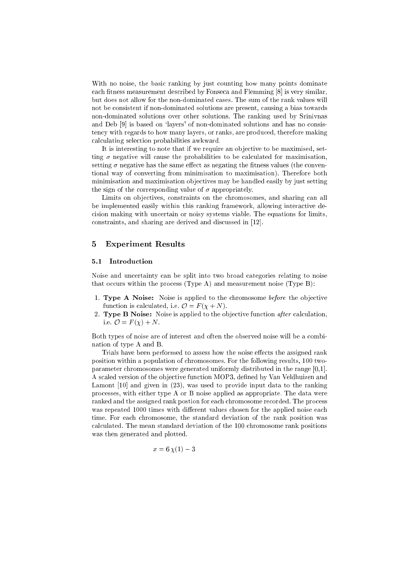With no noise, the basic ranking by just counting how many points dominate each fitness measurement described by Fonseca and Flemming [8] is very similar, but does not allow for the non-dominated cases. The sum of the rank values will not be consistent if non-dominated solutions are present, causing a bias towards non-dominated solutions over other solutions. The ranking used by Srinivnas and Deb [9] is based on 'layers' of non-dominated solutions and has no consistency with regards to how many layers, or ranks, are produced, therefore making calculating selection probabilities awkward.

It is interesting to note that if we require an objective to be maximised, setting  $\sigma$  negative will cause the probabilities to be calculated for maximisation, setting  $\sigma$  negative has the same effect as negating the fitness values (the conventional way of converting from minimisation to maximisation). Therefore both minimisation and maximisation objectives may be handled easily by just setting the sign of the corresponding value of  $\sigma$  appropriately.

Limits on objectives, constraints on the chromosomes, and sharing can all be implemented easily within this ranking framework, allowing interactive decision making with uncertain or noisy systems viable. The equations for limits, constraints, and sharing are derived and discussed in [12].

#### 5 5 Experiment Results

#### 5.1 Introduction

Noise and uncertainty can be split into two broad categories relating to noise that occurs within the process (Type A) and measurement noise (Type B):

- 1. Type A Noise: Noise is applied to the chromosome before the objective function is calculated, i.e.  $\mathcal{O} = F(\chi + N)$ .
- 2. Type B Noise: Noise is applied to the objective function after calculation, i.e.  $\mathcal{O} = F(\chi) + N$ .

Both types of noise are of interest and often the observed noise will be a combination of type A and B.

Trials have been performed to assess how the noise effects the assigned rank position within a population of chromosomes. For the following results, 100 twoparameter chromosomes were generated uniformly distributed in the range [0,1]. A scaled version of the ob jective function MOP3, dened by Van Veldhuizen and Lamont [10] and given in (23), was used to provide input data to the ranking processes, with either type A or B noise applied as appropriate. The data were ranked and the assigned rank postion for each chromosome recorded. The process was repeated 1000 times with different values chosen for the applied noise each time. For each chromosome, the standard deviation of the rank position was calculated. The mean standard deviation of the 100 chromosome rank positions was then generated and plotted.

$$
x = 6\,\chi(1) - 3
$$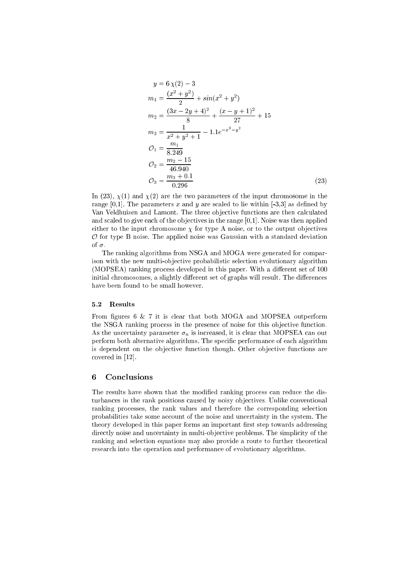$$
y = 6 \chi(2) - 3
$$
  
\n
$$
m_1 = \frac{(x^2 + y^2)}{2} + \sin(x^2 + y^2)
$$
  
\n
$$
m_2 = \frac{(3x - 2y + 4)^2}{8} + \frac{(x - y + 1)^2}{27} + 15
$$
  
\n
$$
m_3 = \frac{1}{x^2 + y^2 + 1} - 1.1e^{-x^2 - y^2}
$$
  
\n
$$
\mathcal{O}_1 = \frac{m_1}{8.249}
$$
  
\n
$$
\mathcal{O}_2 = \frac{m_2 - 15}{46.940}
$$
  
\n
$$
\mathcal{O}_3 = \frac{m_3 + 0.1}{0.296}
$$
\n(23)

In (23),  $\chi$ (1) and  $\chi$ (2) are the two parameters of the input chromosome in the range [0,1]. The parameters x and y are scaled to lie within [-3,3] as defined by Van Veldhuizen and Lamont. The three ob jective functions are then calculated and scaled to give each of the objectives in the range  $[0,1]$ . Noise was then applied either to the input chromosome  $\chi$  for type A noise, or to the output objectives  $\mathcal O$  for type B noise. The applied noise was Gaussian with a standard deviation of  $\sigma$ .

The ranking algorithms from NSGA and MOGA were generated for comparison with the new multi-objective probabilistic selection evolutionary algorithm (MOPSEA) ranking process developed in this paper. With a different set of 100 initial chromosomes, a slightly different set of graphs will result. The differences have been found to be small however.

# 5.2 Results

From figures  $6 \& 7$  it is clear that both MOGA and MOPSEA outperform the NSGA ranking process in the presence of noise for this objective function. As the uncertainty parameter  $\sigma_n$  is increased, it is clear that MOPSEA can out perform both alternative algorithms. The specific performance of each algorithm is dependent on the objective function though. Other objective functions are covered in [12].

# 6 Conclusions

The results have shown that the modified ranking process can reduce the disturbances in the rank positions caused by noisy ob jectives. Unlike conventional ranking processes, the rank values and therefore the corresponding selection probabilities take some account of the noise and uncertainty in the system. The theory developed in this paper forms an important first step towards addressing directly noise and uncertainty in multi-objective problems. The simplicity of the ranking and selection equations may also provide a route to further theoretical research into the operation and performance of evolutionary algorithms.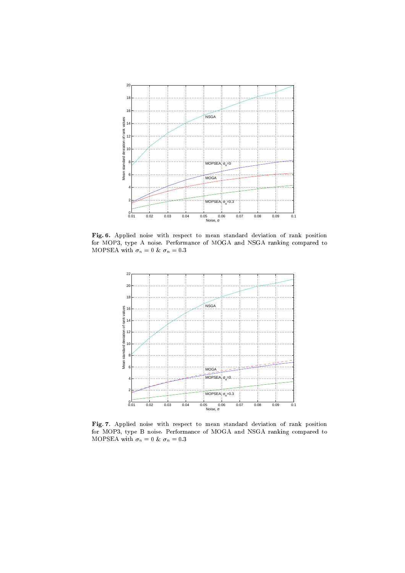

Fig. 6. Applied noise with respect to mean standard deviation of rank position for MOP3, type A noise. Performance of MOGA and NSGA ranking compared to MOPSEA with  $\sigma_n = 0$  &  $\sigma_n = 0.3$ 



Fig. 7. Applied noise with respect to mean standard deviation of rank position for MOP3, type B noise. Performance of MOGA and NSGA ranking compared to MOPSEA with  $\sigma_n$  = 0 &  $\sigma_n$  = 0.3